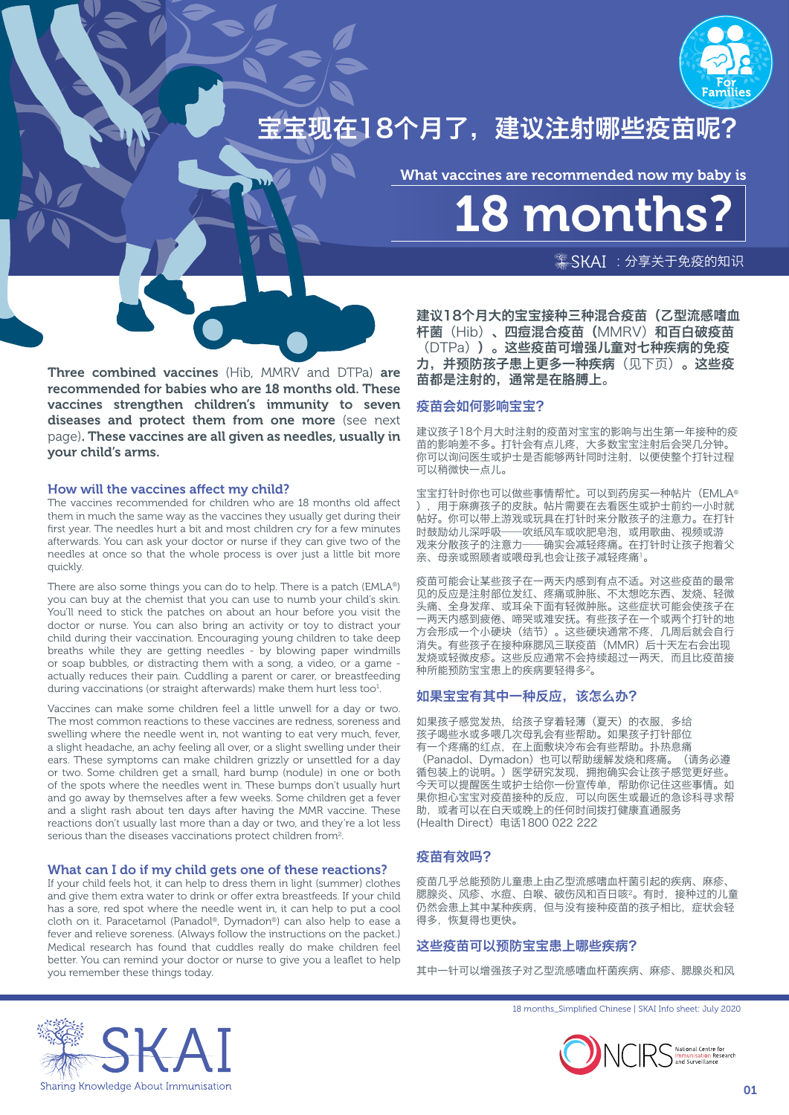

宝宝现在18个月了,建议注射哪些疫苗呢?

What vaccines are recommended now my baby is

18 months?

 $\frac{1}{2}$ SKAI: 分享关于免疫的知识

Three combined vaccines (Hib, MMRV and DTPa) are recommended for babies who are 18 months old. These vaccines strengthen children's immunity to seven diseases and protect them from one more (see next page). These vaccines are all given as needles, usually in your child's arms.

### How will the vaccines affect my child?

The vaccines recommended for children who are 18 months old affect them in much the same way as the vaccines they usually get during their first year. The needles hurt a bit and most children cry for a few minutes afterwards. You can ask your doctor or nurse if they can give two of the needles at once so that the whole process is over just a little bit more quickly.

There are also some things you can do to help. There is a patch (EMLA®) you can buy at the chemist that you can use to numb your child's skin. You'll need to stick the patches on about an hour before you visit the doctor or nurse. You can also bring an activity or toy to distract your child during their vaccination. Encouraging young children to take deep breaths while they are getting needles - by blowing paper windmills or soap bubbles, or distracting them with a song, a video, or a game actually reduces their pain. Cuddling a parent or carer, or breastfeeding during vaccinations (or straight afterwards) make them hurt less too<sup>1</sup>.

Vaccines can make some children feel a little unwell for a day or two. The most common reactions to these vaccines are redness, soreness and swelling where the needle went in, not wanting to eat very much, fever a slight headache, an achy feeling all over, or a slight swelling under their ears. These symptoms can make children grizzly or unsettled for a day or two. Some children get a small, hard bump (nodule) in one or both of the spots where the needles went in. These bumps don't usually hurt and go away by themselves after a few weeks. Some children get a fever and a slight rash about ten days after having the MMR vaccine. These reactions don't usually last more than a day or two, and they're a lot less serious than the diseases vaccinations protect children from<sup>2</sup>.

### What can I do if my child gets one of these reactions?

If your child feels hot, it can help to dress them in light (summer) clothes and give them extra water to drink or offer extra breastfeeds. If your child has a sore, red spot where the needle went in, it can help to put a cool cloth on it. Paracetamol (Panadol®, Dymadon®) can also help to ease a fever and relieve soreness. (Always follow the instructions on the packet.) Medical research has found that cuddles really do make children feel better. You can remind your doctor or nurse to give you a leaflet to help you remember these things today.

建议18个月大的宝宝接种三种混合疫苗(乙型流感嗜血 杆菌(Hib)、四痘混合疫苗(MMRV)和百白破疫苗 (DTPa))。这些疫苗可增强儿童对七种疾病的免疫 力,并预防孩子患上更多一种疾病(见下页)。这些疫 苗都是注射的,通常是在胳膊上。

# 疫苗会如何影响宝宝?

建议孩子18个月大时注射的疫苗对宝宝的影响与出生第一年接种的疫 苗的影响差不多。打针会有点儿疼,大多数宝宝注射后会哭几分钟。 你可以询问医生或护士是否能够两针同时注射,以便使整个打针过程 可以稍微快一点儿。

宝宝打针时你也可以做些事情帮忙。可以到药房买一种帖片(EMLA® ),用于麻痹孩子的皮肤。帖片需要在去看医生或护士前约一小时就 帖好。你可以带上游戏或玩具在打针时来分散孩子的注意力。在打针 时鼓励幼儿深呼吸——吹纸风车或吹肥皂泡,或用歌曲、视频或游 戏来分散孩子的注意力——确实会减轻疼痛。在打针时让孩子抱着父 亲、母亲或照顾者或喂母乳也会让孩子减轻疼痛<sup>1</sup>。

疫苗可能会让某些孩子在一两天内感到有点不适。对这些疫苗的最常 见的反应是注射部位发红、疼痛或肿胀、不太想吃东西、发烧、轻微 头痛、全身发痒、或耳朵下面有轻微肿胀。这些症状可能会使孩子在 一两天内感到疲倦、啼哭或难安抚。有些孩子在一个或两个打针的地 方会形成一个小硬块(结节)。这些硬块通常不疼,几周后就会自行 消失。有些孩子在接种麻腮风三联疫苗(MMR)后十天左右会出现 发烧或轻微皮疹。这些反应通常不会持续超过一两天,而且比疫苗接 种所能预防宝宝患上的疾病要轻得多2。

# 如果宝宝有其中一种反应,该怎么办?

如果孩子感觉发热,给孩子穿着轻薄(夏天)的衣服,多给 孩子喝些水或多喂几次母乳会有些帮助。如果孩子打针部位 有一个疼痛的红点,在上面敷块冷布会有些帮助。扑热息痛 (Panadol、Dymadon)也可以帮助缓解发烧和疼痛。(请务必遵 循包装上的说明。)医学研究发现,拥抱确实会让孩子感觉更好些。 今天可以提醒医生或护士给你一份宣传单,帮助你记住这些事情。如 果你担心宝宝对疫苗接种的反应,可以向医生或最近的急诊科寻求帮 助,或者可以在白天或晚上的任何时间拨打健康直通服务 (Health Direct)电话1800 022 222

# 疫苗有效吗?

疫苗几乎总能预防儿童患上由乙型流感嗜血杆菌引起的疾病、麻疹、 腮腺炎、风疹、水痘、白喉、破伤风和百日咳2。有时,接种过的儿童 仍然会患上其中某种疾病、但与没有接种疫苗的孩子相比、症状会轻 得多,恢复得也更快。

### 这些疫苗可以预防宝宝患上哪些疾病?

其中一针可以增强孩子对乙型流感嗜血杆菌疾病、麻疹、腮腺炎和风





National Centre for<br>Immunisation Research **Immunisation Re**<br>and Surveillance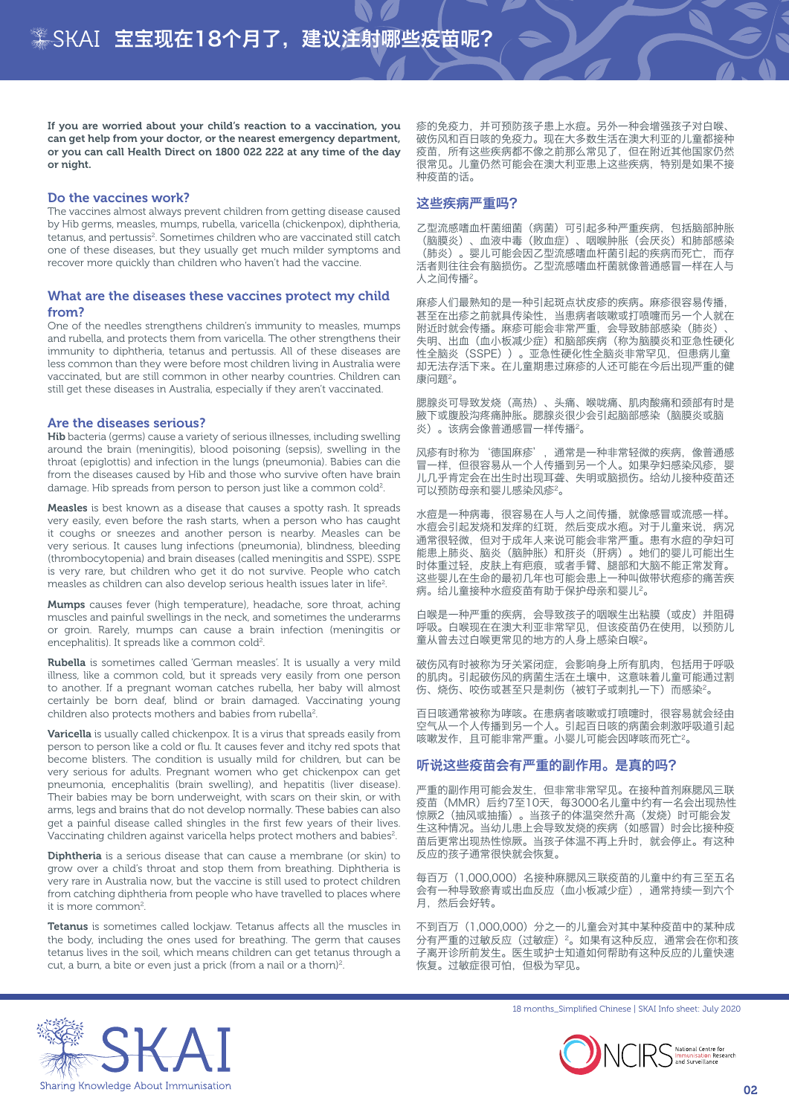If you are worried about your child's reaction to a vaccination, you can get help from your doctor, or the nearest emergency department, or you can call Health Direct on 1800 022 222 at any time of the day or night.

#### Do the vaccines work?

The vaccines almost always prevent children from getting disease caused by Hib germs, measles, mumps, rubella, varicella (chickenpox), diphtheria, tetanus, and pertussis<sup>2</sup>. Sometimes children who are vaccinated still catch one of these diseases, but they usually get much milder symptoms and recover more quickly than children who haven't had the vaccine.

### What are the diseases these vaccines protect my child from?

One of the needles strengthens children's immunity to measles, mumps and rubella, and protects them from varicella. The other strengthens their immunity to diphtheria, tetanus and pertussis. All of these diseases are less common than they were before most children living in Australia were vaccinated, but are still common in other nearby countries. Children can still get these diseases in Australia, especially if they aren't vaccinated.

#### Are the diseases serious?

Hib bacteria (germs) cause a variety of serious illnesses, including swelling around the brain (meningitis), blood poisoning (sepsis), swelling in the throat (epiglottis) and infection in the lungs (pneumonia). Babies can die from the diseases caused by Hib and those who survive often have brain damage. Hib spreads from person to person just like a common cold<sup>2</sup>.

Measles is best known as a disease that causes a spotty rash. It spreads very easily, even before the rash starts, when a person who has caught it coughs or sneezes and another person is nearby. Measles can be very serious. It causes lung infections (pneumonia), blindness, bleeding (thrombocytopenia) and brain diseases (called meningitis and SSPE). SSPE is very rare, but children who get it do not survive. People who catch measles as children can also develop serious health issues later in life<sup>2</sup>.

Mumps causes fever (high temperature), headache, sore throat, aching muscles and painful swellings in the neck, and sometimes the underarms or groin. Rarely, mumps can cause a brain infection (meningitis or encephalitis). It spreads like a common cold<sup>2</sup>.

Rubella is sometimes called 'German measles'. It is usually a very mild illness, like a common cold, but it spreads very easily from one person to another. If a pregnant woman catches rubella, her baby will almost certainly be born deaf, blind or brain damaged. Vaccinating young children also protects mothers and babies from rubella<sup>2</sup>.

Varicella is usually called chickenpox. It is a virus that spreads easily from person to person like a cold or flu. It causes fever and itchy red spots that become blisters. The condition is usually mild for children, but can be very serious for adults. Pregnant women who get chickenpox can get pneumonia, encephalitis (brain swelling), and hepatitis (liver disease). Their babies may be born underweight, with scars on their skin, or with arms, legs and brains that do not develop normally. These babies can also get a painful disease called shingles in the first few years of their lives. Vaccinating children against varicella helps protect mothers and babies<sup>2</sup>.

**Diphtheria** is a serious disease that can cause a membrane (or skin) to grow over a child's throat and stop them from breathing. Diphtheria is very rare in Australia now, but the vaccine is still used to protect children from catching diphtheria from people who have travelled to places where it is more common<sup>2</sup>.

Tetanus is sometimes called lockiaw. Tetanus affects all the muscles in the body, including the ones used for breathing. The germ that causes tetanus lives in the soil, which means children can get tetanus through a cut, a burn, a bite or even just a prick (from a nail or a thorn)<sup>2</sup>.

疹的免疫力,并可预防孩子患上水痘。另外一种会增强孩子对白喉、 破伤风和百日咳的免疫力。现在大多数生活在澳大利亚的儿童都接种 疫苗,所有这些疾病都不像之前那么常见了,但在附近其他国家仍然 很常见。儿童仍然可能会在澳大利亚患上这些疾病,特别是如果不接 种疫苗的话。

## 这些疾病严重吗?

乙型流感嗜血杆菌细菌(病菌)可引起多种严重疾病,包括脑部肿胀 (脑膜炎)、血液中毒(败血症)、咽喉肿胀(会厌炎)和肺部感染 (肺炎)。婴儿可能会因乙型流感嗜血杆菌引起的疾病而死亡,而存 活者则往往会有脑损伤。乙型流感嗜血杆菌就像普通感冒一样在人与 人之间传播2。

麻疹人们最熟知的是一种引起斑点状皮疹的疾病。麻疹很容易传播, 甚至在出疹之前就具传染性,当患病者咳嗽或打喷嚏而另一个人就在 附近时就会传播。麻疹可能会非常严重,会导致肺部感染(肺炎)、 失明、出血(血小板减少症)和脑部疾病(称为脑膜炎和亚急性硬化 性全脑炎(SSPE))。亚急性硬化性全脑炎非常罕见,但患病儿童 却无法存活下来。在儿童期患过麻疹的人还可能在今后出现严重的健 康问题2。

腮腺炎可导致发烧(高热)、头痛、喉咙痛、肌肉酸痛和颈部有时是 腋下或腹股沟疼痛肿胀。腮腺炎很少会引起脑部感染(脑膜炎或脑 炎)。该病会像普通感冒一样传播2。

风疹有时称为'德国麻疹', 通常是一种非常轻微的疾病, 像普通感 冒一样,但很容易从一个人传播到另一个人。如果孕妇感染风疹,婴 儿几乎肯定会在出生时出现耳聋、失明或脑损伤。给幼儿接种疫苗还 可以预防母亲和婴儿感染风疹2。

水痘是一种病毒,很容易在人与人之间传播,就像感冒或流感一样。 水痘会引起发烧和发痒的红斑,然后变成水疱。对于儿童来说,病况 。<br>通常很轻微, 但对于成年人来说可能会非常严重。患有水痘的孕妇可 能患上肺炎、脑炎(脑肿胀)和肝炎(肝病)。她们的婴儿可能出生 时体重过轻,皮肤上有疤痕,或者手臂、腿部和大脑不能正常发育。 这些婴儿在生命的最初几年也可能会患上一种叫做带状疱疹的痛苦疾 病。给儿童接种水痘疫苗有助于保护母亲和婴儿2。

白喉是一种严重的疾病,会导致孩子的咽喉生出粘膜(或皮)并阻碍 呼吸。白喉现在在澳大利亚非常罕见,但该疫苗仍在使用,以预防儿 童从曾去过白喉更常见的地方的人身上感染白喉2。

破伤风有时被称为牙关紧闭症,会影响身上所有肌肉,包括用于呼吸 的肌肉。引起破伤风的病菌生活在土壤中,这意味着儿童可能通过割 伤、烧伤、咬伤或甚至只是刺伤(被钉子或刺扎一下)而感染2。

百日咳通常被称为哮咳。在患病者咳嗽或打喷嚏时,很容易就会经由 空气从一个人传播到另一个人。引起百日咳的病菌会刺激呼吸道引起 咳嗽发作,且可能非常严重。小婴儿可能会因哮咳而死亡<sup>2</sup>。

### 听说这些疫苗会有严重的副作用。是真的吗?

严重的副作用可能会发生,但非常非常罕见。在接种首剂麻腮风三联 疫苗(MMR)后约7至10天,每3000名儿童中约有一名会出现热性 惊厥2 (抽风或抽搐) 。当孩子的体温突然升高 (发烧) 时可能会发 生这种情况。当幼儿患上会导致发烧的疾病(如感冒)时会比接种疫 ———————————————————<br>苗后更常出现热性惊厥。当孩子体温不再上升时,就会停止。有这种 反应的孩子通常很快就会恢复。

每百万(1,000,000)名接种麻腮风三联疫苗的儿童中约有三至五名 会有一种导致瘀青或出血反应(血小板减少症),通常持续一到六个 月, 然后会好转。

不到百万(1,000,000)分之一的儿童会对其中某种疫苗中的某种成 分有严重的过敏反应(过敏症)<sup>2</sup>。如果有这种反应,通常会在你和孩 子离开诊所前发生。医生或护士知道如何帮助有这种反应的儿童快速 恢复。过敏症很可怕,但极为罕见。